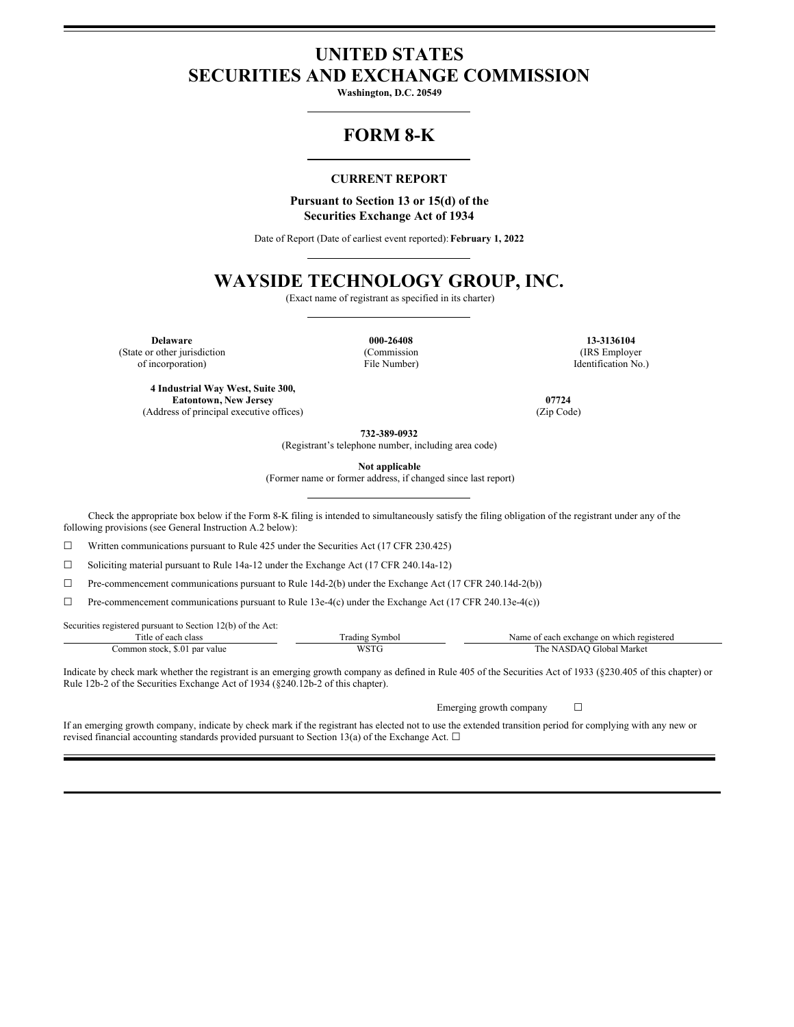# **UNITED STATES SECURITIES AND EXCHANGE COMMISSION**

**Washington, D.C. 20549**

## **FORM 8-K**

### **CURRENT REPORT**

#### **Pursuant to Section 13 or 15(d) of the Securities Exchange Act of 1934**

Date of Report (Date of earliest event reported): **February 1, 2022**

## **WAYSIDE TECHNOLOGY GROUP, INC.**

(Exact name of registrant as specified in its charter)

**Delaware 000-26408 13-3136104** (State or other jurisdiction of incorporation)

(Commission File Number)

(IRS Employer Identification No.)

**4 Industrial Way West, Suite 300, Eatontown, New Jersey 07724** (Address of principal executive offices) (Zip Code)

**732-389-0932** (Registrant's telephone number, including area code)

**Not applicable**

(Former name or former address, if changed since last report)

Check the appropriate box below if the Form 8-K filing is intended to simultaneously satisfy the filing obligation of the registrant under any of the following provisions (see General Instruction A.2 below):

 $\Box$  Written communications pursuant to Rule 425 under the Securities Act (17 CFR 230.425)

☐ Soliciting material pursuant to Rule 14a-12 under the Exchange Act (17 CFR 240.14a-12)

☐ Pre-commencement communications pursuant to Rule 14d-2(b) under the Exchange Act (17 CFR 240.14d-2(b))

 $\Box$  Pre-commencement communications pursuant to Rule 13e-4(c) under the Exchange Act (17 CFR 240.13e-4(c))

Securities registered pursuant to Section 12(b) of the Act:

| $\sim$<br>. itle<br>clas.<br>വ             | –<br>. radıng<br>Symbo | .vame<br>registered<br>each<br>a exchange.<br>which<br>∶on |
|--------------------------------------------|------------------------|------------------------------------------------------------|
| par value<br>:ommon stock<br>5.0<br>.<br>. | $\sim$                 | . he<br>Gilobal<br>Mark                                    |

Indicate by check mark whether the registrant is an emerging growth company as defined in Rule 405 of the Securities Act of 1933 (§230.405 of this chapter) or Rule 12b-2 of the Securities Exchange Act of 1934 (§240.12b-2 of this chapter).

Emerging growth company  $\Box$ 

If an emerging growth company, indicate by check mark if the registrant has elected not to use the extended transition period for complying with any new or revised financial accounting standards provided pursuant to Section 13(a) of the Exchange Act.  $\Box$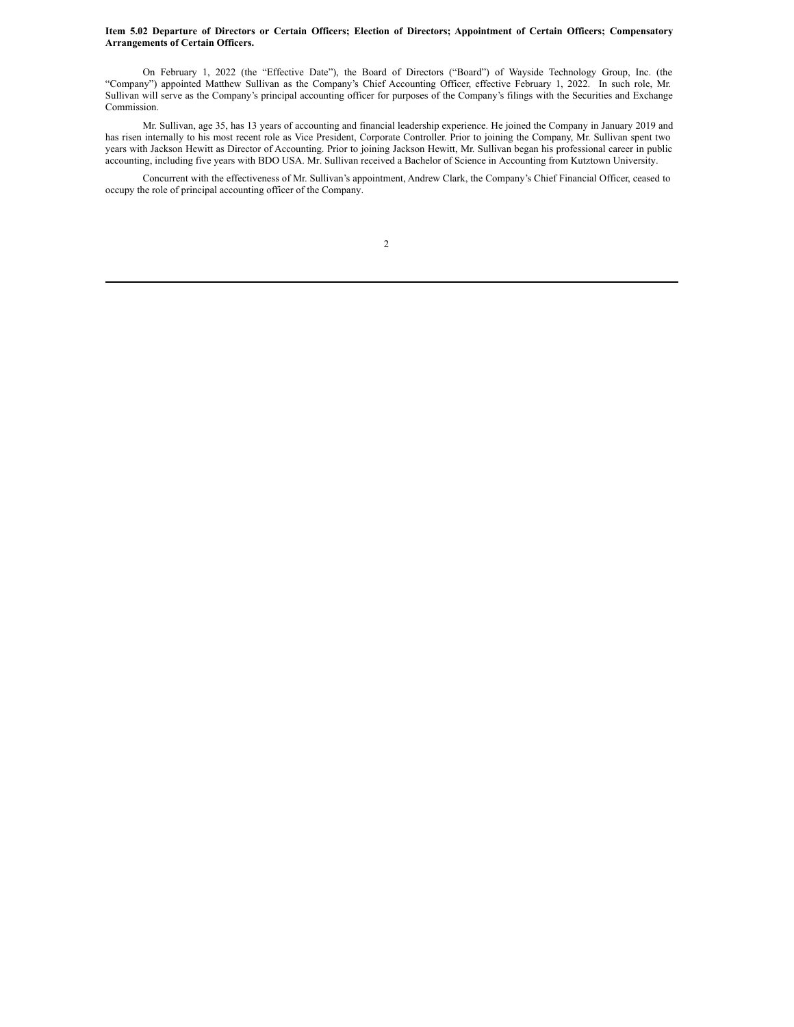#### Item 5.02 Departure of Directors or Certain Officers; Election of Directors; Appointment of Certain Officers; Compensatory **Arrangements of Certain Officers.**

On February 1, 2022 (the "Effective Date"), the Board of Directors ("Board") of Wayside Technology Group, Inc. (the "Company") appointed Matthew Sullivan as the Company's Chief Accounting Officer, effective February 1, 2022. In such role, Mr. Sullivan will serve as the Company's principal accounting officer for purposes of the Company's filings with the Securities and Exchange Commission.

Mr. Sullivan, age 35, has 13 years of accounting and financial leadership experience. He joined the Company in January 2019 and has risen internally to his most recent role as Vice President, Corporate Controller. Prior to joining the Company, Mr. Sullivan spent two years with Jackson Hewitt as Director of Accounting. Prior to joining Jackson Hewitt, Mr. Sullivan began his professional career in public accounting, including five years with BDO USA. Mr. Sullivan received a Bachelor of Science in Accounting from Kutztown University.

Concurrent with the effectiveness of Mr. Sullivan's appointment, Andrew Clark, the Company's Chief Financial Officer, ceased to occupy the role of principal accounting officer of the Company.